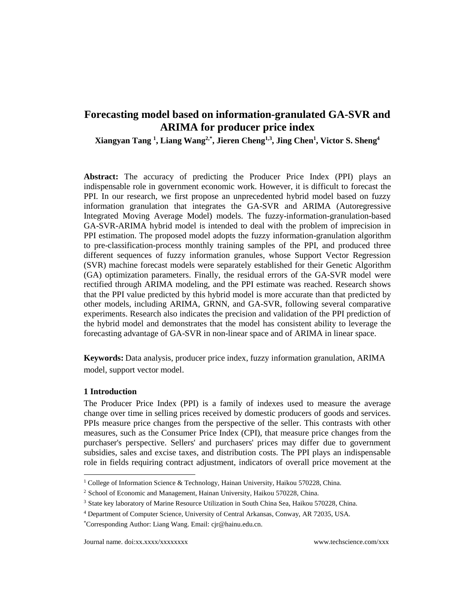# **Forecasting model based on information-granulated GA-SVR and ARIMA for producer price index**

**Xiangyan Tang <sup>1</sup> , Liang Wang2,\*, Jieren Cheng1,3, Jing Chen<sup>1</sup> , Victor S. Sheng<sup>4</sup>**

**Abstract:** The accuracy of predicting the Producer Price Index (PPI) plays an indispensable role in government economic work. However, it is difficult to forecast the PPI. In our research, we first propose an unprecedented hybrid model based on fuzzy information granulation that integrates the GA-SVR and ARIMA (Autoregressive Integrated Moving Average Model) models. The fuzzy-information-granulation-based GA-SVR-ARIMA hybrid model is intended to deal with the problem of imprecision in PPI estimation. The proposed model adopts the fuzzy information-granulation algorithm to pre-classification-process monthly training samples of the PPI, and produced three different sequences of fuzzy information granules, whose Support Vector Regression (SVR) machine forecast models were separately established for their Genetic Algorithm (GA) optimization parameters. Finally, the residual errors of the GA-SVR model were rectified through ARIMA modeling, and the PPI estimate was reached. Research shows that the PPI value predicted by this hybrid model is more accurate than that predicted by other models, including ARIMA, GRNN, and GA-SVR, following several comparative experiments. Research also indicates the precision and validation of the PPI prediction of the hybrid model and demonstrates that the model has consistent ability to leverage the forecasting advantage of GA-SVR in non-linear space and of ARIMA in linear space.

**Keywords:** Data analysis, producer price index, fuzzy information granulation, ARIMA model, support vector model.

## **1 Introduction**

l

The Producer Price Index (PPI) is a family of indexes used to measure the average change over time in selling prices received by domestic producers of goods and services. PPIs measure price changes from the perspective of the seller. This contrasts with other measures, such as the Consumer Price Index (CPI), that measure price changes from the purchaser's perspective. Sellers' and purchasers' prices may differ due to government subsidies, sales and excise taxes, and distribution costs. The PPI plays an indispensable role in fields requiring contract adjustment, indicators of overall price movement at the

<sup>&</sup>lt;sup>1</sup> College of Information Science & Technology, Hainan University, Haikou 570228, China.

<sup>2</sup> School of Economic and Management, Hainan University, Haikou 570228, China.

<sup>3</sup> State key laboratory of Marine Resource Utilization in South China Sea, Haikou 570228, China.

<sup>4</sup> Department of Computer Science, University of Central Arkansas, Conway, AR 72035, USA.

<sup>\*</sup>Corresponding Author: Liang Wang. Email: cjr@hainu.edu.cn.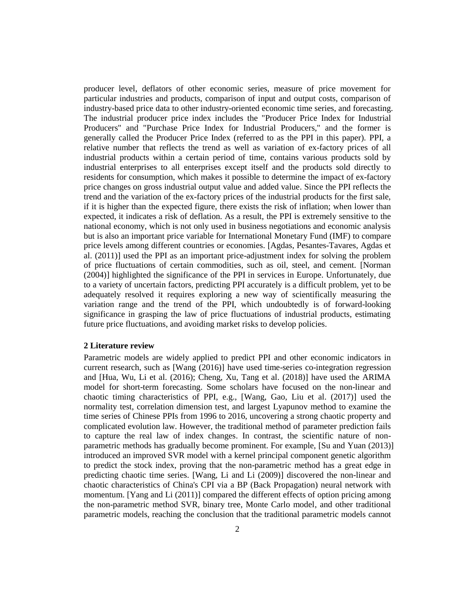producer level, deflators of other economic series, measure of price movement for particular industries and products, comparison of input and output costs, comparison of industry-based price data to other industry-oriented economic time series, and forecasting. The industrial producer price index includes the "Producer Price Index for Industrial Producers" and "Purchase Price Index for Industrial Producers," and the former is generally called the Producer Price Index (referred to as the PPI in this paper). PPI, a relative number that reflects the trend as well as variation of ex-factory prices of all industrial products within a certain period of time, contains various products sold by industrial enterprises to all enterprises except itself and the products sold directly to residents for consumption, which makes it possible to determine the impact of ex-factory price changes on gross industrial output value and added value. Since the PPI reflects the trend and the variation of the ex-factory prices of the industrial products for the first sale, if it is higher than the expected figure, there exists the risk of inflation; when lower than expected, it indicates a risk of deflation. As a result, the PPI is extremely sensitive to the national economy, which is not only used in business negotiations and economic analysis but is also an important price variable for International Monetary Fund (IMF) to compare price levels among different countries or economies. [Agdas, Pesantes-Tavares, Agdas et al. (2011)] used the PPI as an important price-adjustment index for solving the problem of price fluctuations of certain commodities, such as oil, steel, and cement. [Norman (2004)] highlighted the significance of the PPI in services in Europe. Unfortunately, due to a variety of uncertain factors, predicting PPI accurately is a difficult problem, yet to be adequately resolved it requires exploring a new way of scientifically measuring the variation range and the trend of the PPI, which undoubtedly is of forward-looking significance in grasping the law of price fluctuations of industrial products, estimating future price fluctuations, and avoiding market risks to develop policies.

#### **2 Literature review**

Parametric models are widely applied to predict PPI and other economic indicators in current research, such as [Wang (2016)] have used time-series co-integration regression and [Hua, Wu, Li et al. (2016); Cheng, Xu, Tang et al. (2018)] have used the ARIMA model for short-term forecasting. Some scholars have focused on the non-linear and chaotic timing characteristics of PPI, e.g., [Wang, Gao, Liu et al. (2017)] used the normality test, correlation dimension test, and largest Lyapunov method to examine the time series of Chinese PPIs from 1996 to 2016, uncovering a strong chaotic property and complicated [evolution law.](http://dict.cnki.net/javascript:showjdsw() However, the traditional method of parameter prediction fails to capture the real law of index changes. In contrast, the scientific nature of nonparametric methods has gradually become prominent. For example, [Su and Yuan (2013)] introduced an improved SVR model with a kernel principal component genetic algorithm to predict the stock index, proving that the non-parametric method has a great edge in predicting chaotic time series. [Wang, Li and Li (2009)] discovered the non-linear and chaotic characteristics of China's CPI via a BP (Back Propagation) neural network with momentum. [Yang and Li (2011)] compared the different effects of option pricing among the non-parametric method SVR, binary tree, Monte Carlo model, and other traditional parametric models, reaching the conclusion that the traditional parametric models cannot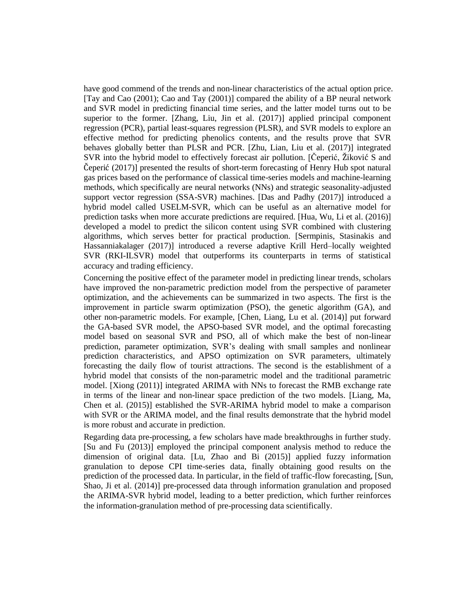have good commend of the trends and non-linear characteristics of the actual option price. [Tay and Cao (2001); Cao and Tay (2001)] compared the ability of a BP neural network and SVR model in predicting financial time series, and the latter model turns out to be superior to the former. [Zhang, Liu, Jin et al. (2017)] applied principal component regression (PCR), partial least-squares regression (PLSR), and SVR models to explore an effective method for predicting phenolics contents, and the results prove that SVR behaves globally better than PLSR and PCR. [Zhu, Lian, Liu et al. (2017)] integrated SVR into the hybrid model to effectively forecast air pollution. [Čeperić, Žiković S and Čeperić (2017)] presented the results of short-term forecasting of Henry Hub spot natural gas prices based on the performance of classical time-series models and machine-learning methods, which specifically are neural networks (NNs) and strategic seasonality-adjusted support vector regression (SSA-SVR) machines. [Das and Padhy (2017)] introduced a hybrid model called USELM-SVR, which can be useful as an alternative model for prediction tasks when more accurate predictions are required. [Hua, Wu, Li et al. (2016)] developed a model to predict the silicon content using SVR combined with clustering algorithms, which serves better for practical production. [Sermpinis, Stasinakis and Hassanniakalager (2017)] introduced a reverse adaptive Krill Herd–locally weighted SVR (RKI-ILSVR) model that outperforms its counterparts in terms of statistical accuracy and trading efficiency.

Concerning the positive effect of the parameter model in predicting linear trends, scholars have improved the non-parametric prediction model from the perspective of parameter optimization, and the achievements can be summarized in two aspects. The first is the improvement in particle swarm optimization (PSO), the genetic algorithm (GA), and other non-parametric models. For example, [Chen, Liang, Lu et al. (2014)] put forward the GA-based SVR model, the APSO-based SVR model, and the optimal forecasting model based on seasonal SVR and PSO, all of which make the best of non-linear prediction, parameter optimization, SVR's dealing with small samples and nonlinear prediction characteristics, and APSO optimization on SVR parameters, ultimately forecasting the daily flow of tourist attractions. The second is the establishment of a hybrid model that consists of the non-parametric model and the traditional parametric model. [Xiong (2011)] integrated ARIMA with NNs to forecast the RMB exchange rate in terms of the linear and non-linear space prediction of the two models. [Liang, Ma, Chen et al. (2015)] established the SVR-ARIMA hybrid model to make a comparison with SVR or the ARIMA model, and the final results demonstrate that the hybrid model is more robust and accurate in prediction.

Regarding data pre-processing, a few scholars have made breakthroughs in further study. [Su and Fu (2013)] employed the principal component analysis method to reduce the dimension of original data. [Lu, Zhao and Bi (2015)] applied fuzzy information granulation to depose CPI time-series data, finally obtaining good results on the prediction of the processed data. In particular, in the field of traffic-flow forecasting, [Sun, Shao, Ji et al. (2014)] pre-processed data through information granulation and proposed the ARIMA-SVR hybrid model, leading to a better prediction, which further reinforces the information-granulation method of pre-processing data scientifically.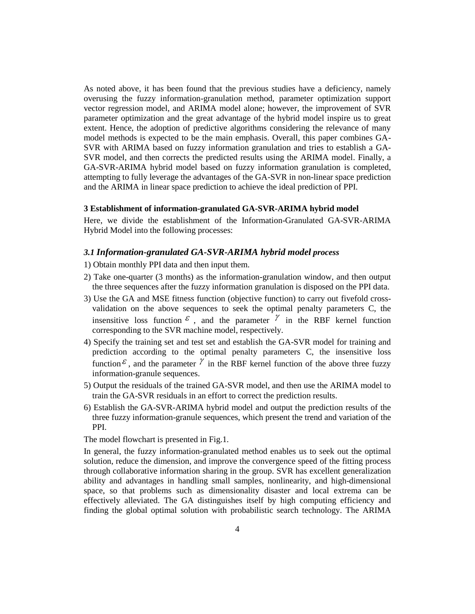As noted above, it has been found that the previous studies have a deficiency, namely overusing the fuzzy information-granulation method, parameter optimization support vector regression model, and ARIMA model alone; however, the improvement of SVR parameter optimization and the great advantage of the hybrid model inspire us to great extent. Hence, the adoption of predictive algorithms considering the relevance of many model methods is expected to be the main emphasis. Overall, this paper combines GA-SVR with ARIMA based on fuzzy information granulation and tries to establish a GA-SVR model, and then corrects the predicted results using the ARIMA model. Finally, a GA-SVR-ARIMA hybrid model based on fuzzy information granulation is completed, attempting to fully leverage the advantages of the GA-SVR in non-linear space prediction and the ARIMA in linear space prediction to achieve the ideal prediction of PPI.

#### **3 Establishment of information-granulated GA-SVR-ARIMA hybrid model**

Here, we divide the establishment of the Information-Granulated GA-SVR-ARIMA Hybrid Model into the following processes:

## *3.1 Information-granulated GA-SVR-ARIMA hybrid model process*

- 1) Obtain monthly PPI data and then input them.
- 2) Take one-quarter (3 months) as the information-granulation window, and then output the three sequences after the fuzzy information granulation is disposed on the PPI data.
- 3) Use the GA and MSE fitness function (objective function) to carry out fivefold crossvalidation on the above sequences to seek the optimal penalty parameters C, the insensitive loss function  $\epsilon$ , and the parameter  $\gamma$  in the RBF kernel function corresponding to the SVR machine model, respectively.
- 4) Specify the training set and test set and establish the GA-SVR model for training and prediction according to the optimal penalty parameters C, the insensitive loss function  $\epsilon$ , and the parameter  $\gamma$  in the RBF kernel function of the above three fuzzy information-granule sequences.
- 5) Output the residuals of the trained GA-SVR model, and then use the ARIMA model to train the GA-SVR residuals in an effort to correct the prediction results.
- 6) Establish the GA-SVR-ARIMA hybrid model and output the prediction results of the three fuzzy information-granule sequences, which present the trend and variation of the PPI.

The model flowchart is presented in Fig.1.

In general, the fuzzy information-granulated method enables us to seek out the optimal solution, reduce the dimension, and improve the convergence speed of the fitting process through collaborative information sharing in the group. SVR has excellent generalization ability and advantages in handling small samples, nonlinearity, and high-dimensional space, so that problems such as dimensionality disaster and local extrema can be effectively alleviated. The GA distinguishes itself by high computing efficiency and finding the global optimal solution with probabilistic search technology. The ARIMA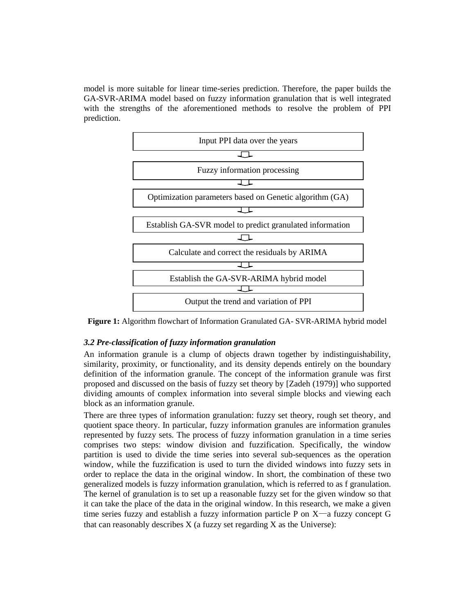model is more suitable for linear time-series prediction. Therefore, the paper builds the GA-SVR-ARIMA model based on fuzzy information granulation that is well integrated with the strengths of the aforementioned methods to resolve the problem of PPI prediction.



**Figure 1:** Algorithm flowchart of Information Granulated GA- SVR-ARIMA hybrid model

## *3.2 Pre-classification of fuzzy information granulation*

An information granule is a clump of objects drawn together by indistinguishability, similarity, proximity, or functionality, and its density depends entirely on the boundary definition of the information granule. The concept of the information granule was first proposed and discussed on the basis of fuzzy set theory by [Zadeh (1979)] who supported dividing amounts of complex information into several simple blocks and viewing each block as an information granule.

There are three types of information granulation: fuzzy set theory, rough set theory, and quotient space theory. In particular, fuzzy information granules are information granules represented by fuzzy sets. The process of fuzzy information granulation in a time series comprises two steps: window division and fuzzification. Specifically, the window partition is used to divide the time series into several sub-sequences as the operation window, while the fuzzification is used to turn the divided windows into fuzzy sets in order to replace the data in the original window. In short, the combination of these two generalized models is fuzzy information granulation, which is referred to as f granulation. The kernel of granulation is to set up a reasonable fuzzy set for the given window so that it can take the place of the data in the original window. In this research, we make a given time series fuzzy and establish a fuzzy information particle P on  $X$ —a fuzzy concept G that can reasonably describes  $X$  (a fuzzy set regarding  $X$  as the Universe):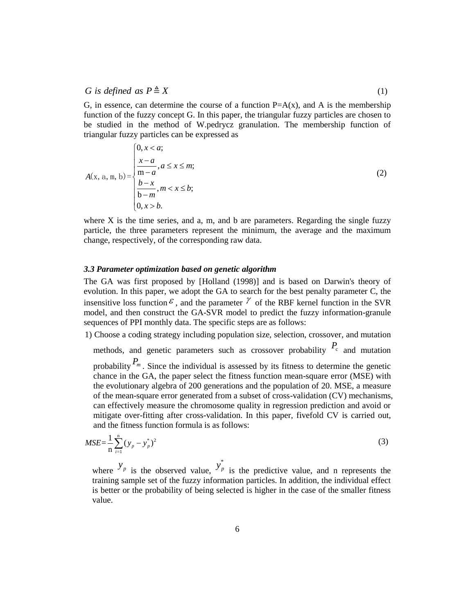## *G is defined as*  $P \triangleq X$  (1)

G, in essence, can determine the course of a function  $P=A(x)$ , and A is the membership function of the fuzzy concept G. In this paper, the triangular fuzzy particles are chosen to be studied in the method of W.pedrycz granulation. The membership function of triangular fuzzy particles can be expressed as

G is defined as 
$$
P \triangleq X
$$
 (1)  
\nG, in essence, can determine the course of a function P=A(x), and A is the membership  
\nfunction of the fuzzy concept G. In this paper, the triangular fuzzy particles are chosen to  
\nbe studied in the method of W. pedrycz granulation. The membership function of  
\ntriangular fuzzy particles can be expressed as  
\n
$$
A(x, a, m, b) = \begin{cases}\n0, x < a; & x \leq m; \\
\frac{x-a}{m-a}, a \leq x \leq m; & (2) \\
\frac{b-x}{b-m}, m < x \leq b; \\
0, x > b.\n\end{cases}
$$
\nwhere X is the time series, and a, m, and b are parameters. Regarding the single fuzzy  
\nparticle, the three parameters represent the minimum, the average and the maximum  
\nchange, respectively, of the corresponding raw data.  
\n3.3 *Parameter optimization based on genetic algorithm*  
\nThe GA was first proposed by [Holland (1998)] and is based on Darwin's theory of  
\nevolution. In this paper, we adopt the GA to search for the best penalty parameter C, the

where  $X$  is the time series, and a, m, and b are parameters. Regarding the single fuzzy particle, the three parameters represent the minimum, the average and the maximum change, respectively, of the corresponding raw data.

## *3.3 Parameter optimization based on genetic algorithm*

The GA was first proposed by [Holland (1998)] and is based on Darwin's theory of evolution. In this paper, we adopt the GA to search for the best penalty parameter C, the insensitive loss function  $\epsilon$ , and the parameter  $\gamma$  of the RBF kernel function in the SVR model, and then construct the GA-SVR model to predict the fuzzy information-granule sequences of PPI monthly data. The specific steps are as follows:

1) Choose a coding strategy including population size, selection, crossover, and mutation

methods, and genetic parameters such as crossover probability  $P_c$  and mutation

probability *P m* . Since the individual is assessed by its fitness to determine the genetic chance in the GA, the paper select the fitness function mean-square error (MSE) with the evolutionary algebra of 200 generations and the population of 20. MSE, a measure of the mean-square error generated from a subset of cross-validation (CV) mechanisms, can effectively measure the chromosome quality in regression prediction and avoid or mitigate over-fitting after cross-validation. In this paper, fivefold CV is carried out, and the fitness function formula is as follows: fiction  $\circ$ , and the pair<br>onstruct the GA-SV<br>monthly data. The spe<br>g strategy including<br>genetic parameters<br>Since the individual<br>iA, the paper select t<br>y algebra of 200 gene<br>are error generated f<br>measure the chromos<br>tting  $[0, x > b]$ <br>
Example, the time series, and a, m, an<br>
Ele, the three parameters represent<br>
Ele, the three parameters represent<br>
Ele, respectively, of the corresponding<br>
FGA was first proposed by [Hollan<br>
tion. In this paper, en construct the GA-S<br>
PPI monthly data. The s<br>
oding strategy including<br>
and genetic parameters<br>  $P_m$ . Since the individual<br>
the GA, the paper select<br>
phasure error generated<br>
vely measure the chrom<br>
ver-fitting after cr (0.*x* > *D*.<br> **Example 10.** The terms exists, and a, m, and b are parameters. Regarding the single fuzzy<br>
particle, the three parameters represent the minimum, the average and the maximum<br>
change, respectively, of the

$$
MSE = \frac{1}{n} \sum_{i=1}^{n} (y_p - y_p^*)^2
$$
 (3)

where  $y_p$  is the observed value,  $y_{p}^{*}$  is the predictive value, and n represents the training sample set of the fuzzy information particles. In addition, the individual effect is better or the probability of being selected is higher in the case of the smaller fitness value.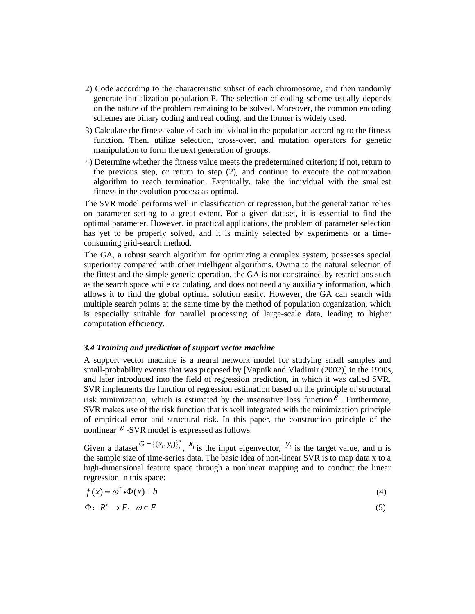- 2) Code according to the characteristic subset of each chromosome, and then randomly generate initialization population P. The selection of coding scheme usually depends on the nature of the problem remaining to be solved. Moreover, the common encoding schemes are binary coding and real coding, and the former is widely used.
- 3) Calculate the fitness value of each individual in the population according to the fitness function. Then, utilize selection, cross-over, and mutation operators for genetic manipulation to form the next generation of groups.
- 4) Determine whether the fitness value meets the predetermined criterion; if not, return to the previous step, or return to step (2), and continue to execute the optimization algorithm to reach termination. Eventually, take the individual with the smallest fitness in the evolution process as optimal.

The SVR model performs well in classification or regression, but the generalization relies on parameter setting to a great extent. For a given dataset, it is essential to find the optimal parameter. However, in practical applications, the problem of parameter selection has yet to be properly solved, and it is mainly selected by experiments or a timeconsuming grid-search method.

The GA, a robust search algorithm for optimizing a complex system, possesses special superiority compared with other intelligent algorithms. Owing to the natural selection of the fittest and the simple genetic operation, the GA is not constrained by restrictions such as the search space while calculating, and does not need any auxiliary information, which allows it to find the global optimal solution easily. However, the GA can search with multiple search points at the same time by the method of population organization, which is especially suitable for parallel processing of large-scale data, leading to higher computation efficiency.

#### *3.4 Training and prediction of support vector machine*

A support vector machine is a neural network model for studying small samples and small-probability events that was proposed by [Vapnik and Vladimir (2002)] in the 1990s, and later introduced into the field of regression prediction, in which it was called SVR. SVR implements the function of regression estimation based on the principle of structural risk minimization, which is estimated by the insensitive loss function  $\epsilon$ . Furthermore, SVR makes use of the risk function that is well integrated with the minimization principle of empirical error and structural risk. In this paper, the construction principle of the nonlinear  $\epsilon$ -SVR model is expressed as follows: the same time by the method of populatio<br>ole for parallel processing of large-scale dat<br>acy.<br>**ediction of support vector machine**<br>nachine is a neural network model for studyir<br>ents that was proposed by [Vapnik and Vladimi points at the same time by the method<br>iitable for parallel processing of la<br>iciency.<br>*d prediction of support vector machin*<br>or machine is a neural network mode<br>y events that was proposed by [Vapnil<br>inced into the fie de GA, a robust search algorithm fo<br>periority compared with other intellies<br>fittest and the simple genetic opera<br>the search space while calculating, a<br>ows it to find the global optimal s<br>alltiple search points at the sam The GA, a robust search algorithm for optimizing a complex system, possesses special<br>pheriority compared with other intelligent algorithms. Owing to the natural selection of<br>the fittest and the simple genetic operation, t operation of the methanic state of the methanic solution of the matrix of the first and the sterior spectra the first and the simple genetic operation, the GA is not constrained by restrictions such the fitters and the si

Given a dataset  $G = \{(x_i, y_i)\}_{i=1}^n$ ,  $x_i$  is the input eigenvector,  $y_i$  is the target value, and n is the sample size of time-series data. The basic idea of non-linear SVR is to map data x to a high-dimensional feature space through a nonlinear mapping and to conduct the linear regression in this space:

$$
f(x) = \omega^T \cdot \Phi(x) + b \tag{4}
$$

$$
\Phi: R^n \to F, \quad \omega \in F \tag{5}
$$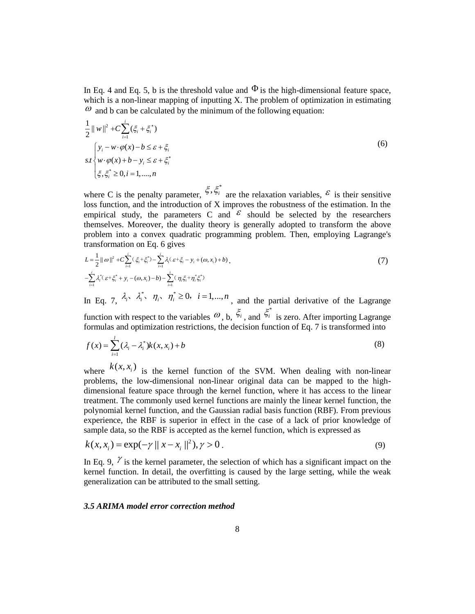In Eq. 4 and Eq. 5, b is the threshold value and  $\Phi$  is the high-dimensional feature space, which is a non-linear mapping of inputting X. The problem of optimization in estimating  $\omega$  and b can be calculated by the minimum of the following equation:

In Eq. 4 and Eq. 5, b is the threshold value and 
$$
\Phi
$$
 is the high-dimensional feature space,  
which is a non-linear mapping of inputting X. The problem of optimization in estimating  
 $\omega$  and b can be calculated by the minimum of the following equation:  

$$
\frac{1}{2} ||w||^2 + C \sum_{i=1}^{i} (\xi_i + \xi_i^*)
$$

$$
sI \begin{cases} y_i - w \cdot \varphi(x) - b \le \varepsilon + \xi_i \\ w \cdot \varphi(x) + b - y_i \le \varepsilon + \xi_i^* \end{cases}
$$
(6)  
where C is the penalty parameter,  $\xi$ ,  $\xi_i^*$  are the relaxation variables,  $\varepsilon$  is their sensitive  
loss function, and the introduction of X improves the robustness of the estimation. In the  
empirical study, the parameters C and  $\varepsilon$  should be selected by the researchers  
themselves. Moreover, the duality theory is generally adopted to transform the above  
problem into a convex quadratic programming problem. Then, employing Lagrange's

where C is the penalty parameter, \* are the relaxation variables,  $\epsilon$  is their sensitive loss function, and the introduction of X improves the robustness of the estimation. In the empirical study, the parameters C and  $\epsilon$  should be selected by the researchers themselves. Moreover, the duality theory is generally adopted to transform the above problem into a convex quadratic programming problem. Then, employing Lagrange's transformation on Eq. 6 gives and Eq. 5, b is the threshold<br>a non-linear mapping of inp<br>o can be calculated by the mir<br> $+C\sum_{i=1}^{i}(\xi_i + \xi_i^*)$ <br> $\forall \cdot \varphi(x) - b \leq \varepsilon + \xi_i$ <br> $(x) + b - y_i \leq \varepsilon + \xi_i^*$ <br> $\geq 0, i = 1,..., n$ <br>is the penalty parameter,  $\xi$ ,<br> $\geq 0, i = 1,...,$ Eq. 5, b is the threshold val<br>
m-linear mapping of inputtir<br>
be calculated by the minimu<br>  $(\xi_i + \xi_i^*)$ <br>  $x) - b \le \varepsilon + \xi_i$ <br>  $b - y_i \le \varepsilon + \xi_i^*$ <br>  $= 1,..., n$ <br>
ne penalty parameter,  $\xi, \xi_i^*$ <br>  $= 1,..., n$ <br>
ne penalty parameter,  $\xi,$ q. 4 and Eq. 5, b is the threshold value and  $\Phi$  is<br>h is a non-linear mapping of inputting X. The p<br>nd b can be calculated by the minimum of the fo<br> $y\vert^2 + C \sum_{i=1}^t (\xi_i + \xi_i^*)$ <br> $y_i - w \cdot \varphi(x) - b \le \varepsilon + \xi_i^*$ <br> $y \cdot \varphi(x) + b - y_i \le$ Eq. 4 and Eq. 5, b is the threshold value<br>
ich is a non-linear mapping of inputting<br>
and b can be calculated by the minimum<br>  $|w||^2 + C \sum_{i=1}^{i} (\xi_i + \xi_i^*)$ <br>  $\begin{cases} y_i - w \cdot \varphi(x) - b \le \varepsilon + \xi_i \\ w \cdot \varphi(x) + b - y_i \le \varepsilon + \xi_i^* \end{cases}$ <br>  $\begin$ Eq. 4 and Eq. 5, b is the threshold value and  $\Phi$  is the high-<br>ch is a non-linear mapping of inputting X. The problem of<br>and b can be calculated by the minimum of the following eq<br> $w\Big|_i^2 + C\sum_{i=1}^N(\xi_i + \xi_i^*)$ <br> $y_i - w \cdot \var$ q. 5, b is the threshold value<br>-linear mapping of inputting<br>e calculated by the minimum<br> $\xi_i + \xi_i^*$ <br> $-b \le \varepsilon + \xi_i$ <br> $-y_i \le \varepsilon + \xi_i^*$ <br>1.....,*n*<br>penalty parameter,  $\xi, \xi_i^*$  are<br>not the introduction of X imply, the paramete Eq. 5, b is the thres<br>
on-linear mapping of<br>
be calculated by the<br>  $\sum_{i}(\xi_{i} + \xi_{i}^{*})$ <br>  $x) - b \leq \varepsilon + \xi_{i}^{*}$ <br>  $b - y_{i} \leq \varepsilon + \xi_{i}^{*}$ <br>  $i = 1,...,n$ <br>
the penalty parameter<br>
and the introduction<br>
dudy, the parameter<br>
More *i* 5, **b** is the threshold value and<br>
inear mapping of inputting X. **T**<br>
calculated by the minimum of tl<br>  $+ \xi_i^*$ <br>  $b \leq \varepsilon + \xi_i$ <br>  $y_i \leq \varepsilon + \xi_i^*$ <br>  $y_i \leq \varepsilon + \xi_i^*$ <br>  $y_i \leq \varepsilon + \xi_i^*$ <br>  $y_i \leq \varepsilon + \xi_i^*$ <br>  $y_i \leq \varepsilon$ *i* Eq. 5, b is the thre<br>
on-linear mapping c<br> **i** be calculated by th<br>  $\sum_{i=1}^{n} (\xi_i + \xi_i^*)$ <br>  $(x) - b \le \varepsilon + \xi_i$ <br>  $\cdot b - y_i \le \varepsilon + \xi_i^*$ <br>  $i = 1,..., n$ <br>
the penalty parameter<br> **i**, and the introduction,<br>
the parameter<br>
Moreover, Eq. 4 and Eq. 5, b is the thresho<br>
ich is a non-linear mapping of ir<br>
and b can be calculated by the m<br>  $||w||^2 + C \sum_{i=1}^{i} (\xi_i + \xi_i^*)$ <br>  $\left\{ y_i - w \cdot \varphi(x) - b \le \varepsilon + \xi_i \right\}$ <br>  $\left\{ w \cdot \varphi(x) + b - y_i \le \varepsilon + \xi_i^* \right\}$ <br>  $\left\{ \xi, \xi_i^* \ge$ q. 4 and Eq. 5, b is the threshold value<br>
h is a non-linear mapping of inputting ?<br>
md b can be calculated by the minimum<br>  $\|v\|^2 + C \sum_{i=1}^i (\xi_i + \xi_i^*)$ <br>  $\forall_i - w \cdot \varphi(x) - b \le \varepsilon + \xi_i$ <br>  $\forall v \cdot \varphi(x) + b - y_i \le \varepsilon + \xi_i^*$ <br>  $\forall v \cdot \varphi$ **i** Eq. 4 and Eq. 5, b is the threshot hich is a non-linear mapping of i<br> *i* and b can be calculated by the n<br>
<sup>*i*</sup> and b can be calculated by the n<br>
<sup>*i*</sup> w  $\varphi(x) + b - y_i \le \varepsilon + \xi_i$ <br>  $\psi \varphi(x) + b - y_i \le \varepsilon + \xi_i$ <br>  $\xi, \xi_i^*$ In Eq. 4 and Eq. 5, b is the threshold value and  $\Phi$  is the high-dimension<br>
which is a non-linear mapping of inputting X. The problem of optimization<br>  $\omega$  and b can be calculated by the minimum of the following equation *y* Eq. 5, b is the threshold value and  $\Phi$  is<br>
non-linear mapping of inputting X. The pro-<br>
in be calculated by the minimum of the fol-<br>
in the calculated by the minimum of the fol-<br>  $\sum_{i=1}^{i} (\xi_i + \xi_i^*)$ <br>  $(x) - b \leq \varepsilon +$ 4 and Eq. 5, b is the threshold value and  $\Phi$  is the high-dimensional feature space,<br>is a non-linear mapping of inputting X. The problem of optimization in estimating<br>
b can be calculated by the minimum of the Iollowing Eq. 4 and Eq. 5, b is the threshold value and  $\Phi$  is the high-dimensional feature space,<br>ch is a mon-linear mapping of inputting X. The problem of optimization in estimating<br>ord b an is non-linear mapping of inputting X. Eq. 5, b is the threshold value and  $\Phi$  is the high-dimensional feature space,<br>
on-linear mapping of inputting X. The problem of optimization in estimating<br>
be calculated by the minimum of the following equation:<br>  $\langle \xi,$ Fig. 4 and Fig. 5, b is the threshold value and Φ is the high-dimensional feature space,<br>
Fig. 4 and Fig. 6, b is the threshold value and Φ is the high-dimensional feature space,<br>
and the an ob-linear angelia by the mini In Eq. 4 and Eq. 5, b is the threshold value and Φ is the high-dimensional feature space,<br>which is a non-linear mappleg of inputing X. The problem of optimization in estimating<br>
<sup>2</sup> and h can be calculated by the minimu Eq. 5, b is the threshold value and <sup>Φ</sup> is the high-dimensional feature space.<br>
Eq. 5, b is the threshold value and <sup>Φ</sup> is the high-dimensional feature space.<br>
conclinear mapping of inputian X. The problem of optimizati d Eq. 5, b is the threshold value and  $\Phi$  is the high-dimensional feature space,<br>ono-linear mapping of inputting X. The problem of optimization in estimating<br>in he calculated by the minimum of the following equation:<br> $\sum$ *b* – *y<sub>i</sub>*  $\leq \varepsilon$  +  $\xi$ *i*<br> *i* = 1,...., *n*<br>
the penalty parameter,<br>
, and the introduction<br>
udy, the parameters<br>
Moreover, the duality<br>
o a convex quadratic<br>
on on Eq. 6 gives<br>  $\sum_{i=1}^{i} (\xi_i + \xi_i^*) - \sum_{i=1}^{i} \lambda_i (\$ 4 and Eq. 5. b is the threshold value and Φ is the high-dimensional feature space,<br>is a non-linear mapping of inputing X. The problem of optimization in estimating<br>  $0 \text{ be an be calculated by the minimum of the following equation:}$ <br>  $(-\frac{1}{2}C)\left(\frac{4}{6} + \frac{C}{6}\right)$ <br>  $-\$ 

$$
L = \frac{1}{2} ||\omega||^2 + C \sum_{i=1}^i (\xi_i + \xi_i^*) - \sum_{i=1}^i \lambda_i (\varepsilon + \xi_i - y_i + (\omega, x_i) + b)
$$
  

$$
- \sum_{i=1}^i \lambda_i^* (\varepsilon + \xi_i^* + y_i - (\omega, x_i) - b) - \sum_{i=1}^i (\eta_i \xi_i + \eta_i^* \xi_i^*)
$$
 (7)

In Eq. 7,  $\lambda_i$ ,  $\lambda_i$ ,  $\eta_i$ ,  $\eta_i \leq 0$ ,  $i = 1,...,n$ , and the partial derivative of the Lagrange function with respect to the variables  $\omega$ , b,  $\tilde{\xi}_i$ , and  $\tilde{\xi}_i^*$  is zero. After importing Lagrange formulas and optimization restrictions, the decision function of Eq. 7 is transformed into  $\{\xi_i^* + y_i - (\omega, x_i) - b\} - \sum_{i=1}^{\infty} (\eta_i \xi_i + \eta_i^* \xi_i^*)$ <br>
7,  $\lambda_i^*$ ,  $\lambda_i^*$ ,  $\eta_i$ ,  $\eta_i^* \ge 0$ ,  $i = 1,...,n$ <br>
in with respect to the variables  $\omega$ ,<br>
is and optimization restrictions, the<br>  $\sum_{i=1}^{l} (\lambda_i - \lambda_i^*) k(x, x_i) + b$ <br>  $k(x, x$ 

$$
f(x) = \sum_{i=1}^{l} (\lambda_i - \lambda_i^*) k(x, x_i) + b
$$
 (8)

Eq. 4 and Eq. 3, b is the developed value and <sup>60</sup> is the high-dimensional feature space,<br>
Eq. 4 and Eq. 3, b is the developed value and <sup>60</sup> is the high-dimensional feature space,<br>
and be can be easied below the minimum Eq. 4 and Eq. 5, b is the threshold value and<br>
thich is a non-linear mapping of inputting X.<br>
' and b can be calculated by the minimum of<br>  $||w||^2 + C \sum_{i=1}^{i} (\xi_i + \xi_i^*)$ <br>  $\int_{\gamma} y_i - \varphi(x) - b \le \varepsilon + \xi_i^*$ <br>  $\int_{\xi} y_i - \varphi(x) + b - y_i$ *f* is a more linear mapping of inputting N. The problem in the function in the function of  $\theta$  is a more linear mapping of inputting X. The problem of optimization in estimating  $\frac{1}{2} \cdot w_1^2 + c \sum_{n=1}^{\infty} \zeta_n^2 + \zeta$ where  $\mathcal{L}(\lambda, \lambda_i)$  is the kernel function of the SVM. When dealing with non-linear problems, the low-dimensional non-linear original data can be mapped to the highdimensional feature space through the kernel function, where it has access to the linear treatment. The commonly used kernel functions are mainly the linear kernel function, the polynomial kernel function, and the Gaussian radial basis function (RBF). From previous experience, the RBF is superior in effect in the case of a lack of prior knowledge of sample data, so the RBF is accepted as the kernel function, which is expressed as It Eq. 4 and Eq. 5, b is the chemical value and  $\Phi$  is the high-dimensional folding space.<br>  $\theta^2$  and b can be calculated by the manimum of the following equation:<br>  $\int \ln^2 t \cdot (\sum_{k=1}^{n} C_k - 2) \cdot e^{kx} \cdot \frac{1}{n}$ <br>  $\int \ln^2 t$ 

$$
k(x, x_i) = \exp(-\gamma ||x - x_i||^2), \gamma > 0.
$$
 (9)

In Eq. 9,  $\gamma$  is the kernel parameter, the selection of which has a significant impact on the kernel function. In detail, the overfitting is caused by the large setting, while the weak generalization can be attributed to the small setting.

#### *3.5 ARIMA model error correction method*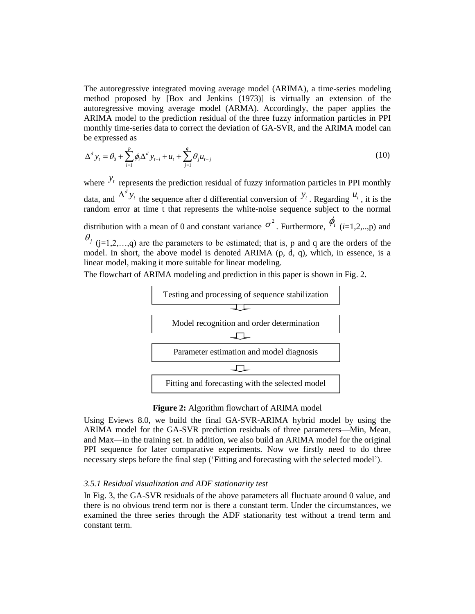The autoregressive integrated moving average model (ARIMA), a time-series modeling method proposed by [Box and Jenkins (1973)] is virtually an extension of the autoregressive moving average model (ARMA). Accordingly, the paper applies the ARIMA model to the prediction residual of the three fuzzy information particles in PPI monthly time-series data to correct the deviation of GA-SVR, and the ARIMA model can be expressed as between the prediction in the sequence of the sequence of the sequence of the prediction residual of the series data to correct the deviation of the series data to correct the deviation of the series data to correct the d ressive integrated moving average r<br>posed by [Box and Jenkins (19]<br>*i*e moving average model (ARMA<br>del to the prediction residual of the<br>-series data to correct the deviation<br>as<br> $\sum_{i=1}^{p} \phi_i \Delta^d y_{t-i} + u_t + \sum_{j=1}^{q} \theta_j u_{t$ are autoregressive integrated movin<br>
ethod proposed by [Box and J<br>
toregressive moving average mo<br>
RIMA model to the prediction resi<br>
onthly time-series data to correct the<br>
expressed as<br>  $d_{y_i} = \theta_0 + \sum_{i=1}^p \phi_i \Delta^d y_{t-i}$ autoregressive integrated moving average<br>
nod proposed by [Box and Jenkins (1<br>
regressive moving average model (ARM<br>
MA model to the prediction residual of th<br>
thly time-series data to correct the deviatio<br>
xpressed as<br> ressive integrated moving a<br>posed by [Box and Jenl<br>we moving average model<br>del to the prediction residu<br>e-series data to correct the c<br>l as<br> $\sum_{i=1}^{p} \phi_i \Delta^d y_{t-i} + u_t + \sum_{j=1}^{q} \theta_j u_{t-j}$ <br>presents the prediction resid<br> $\sum_{$ 

$$
\Delta^d y_t = \theta_0 + \sum_{i=1}^p \phi_i \Delta^d y_{t-i} + u_t + \sum_{j=1}^q \theta_j u_{t-j}
$$
\n(10)

*y* autoregressive integrated moving average model (ARMA), a time-series modeling<br>thod proposed by [Box and Jenkhas (1973)] is virtually an extension of the<br>orcgressive moving average model (ARMA). Accordingly, the paper The autoregressive integrated moving average model (ARIMA), a time-series modeling<br>method proposed by [Box and lenkins (1973)] is virtually an extension of the<br>nutoregressive moving average model (ARMA). Accordingly, the where  $y_t$  represents the prediction residual of fuzzy information particles in PPI monthly data, and  $\Delta^d y_t$  the sequence after d differential conversion of  $y_t$ . Regarding  $u_t$ , it is the random error at time t that represents the white-noise sequence subject to the normal distribution with a mean of 0 and constant variance  $\sigma^2$ . Furthermore,  $\phi_i$  (*i*=1,2,..,p) and  $\theta$ <sup>*j*</sup> (j=1,2,…,q) are the parameters to be estimated; that is, p and q are the orders of the model. In short, the above model is denoted ARIMA (p, d, q), which, in essence, is a linear model, making it more suitable for linear modeling.

The flowchart of ARIMA modeling and prediction in this paper is shown in Fig. 2.



## **Figure 2:** Algorithm flowchart of ARIMA model

Using Eviews 8.0, we build the final GA-SVR-ARIMA hybrid model by using the ARIMA model for the GA-SVR prediction residuals of three parameters—Min, Mean, and Max—in the training set. In addition, we also build an ARIMA model for the original PPI sequence for later comparative experiments. Now we firstly need to do three necessary steps before the final step ('Fitting and forecasting with the selected model').

#### *3.5.1 Residual visualization and ADF stationarity test*

In Fig. 3, the GA-SVR residuals of the above parameters all fluctuate around 0 value, and there is no obvious trend term nor is there a constant term. Under the circumstances, we examined the three series through the ADF stationarity test without a trend term and constant term.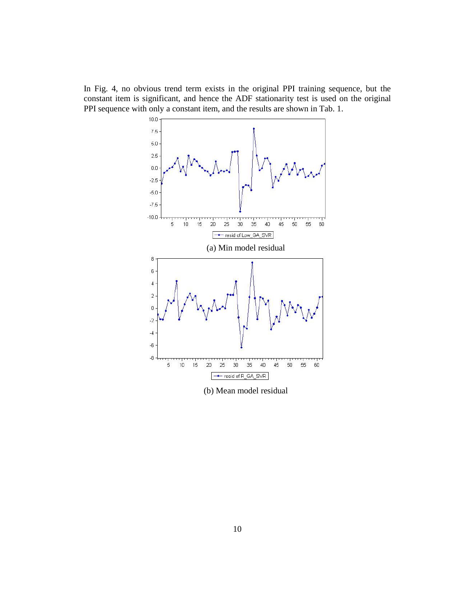In Fig. 4, no obvious trend term exists in the original PPI training sequence, but the constant item is significant, and hence the ADF stationarity test is used on the original PPI sequence with only a constant item, and the results are shown in Tab. 1.



(b) Mean model residual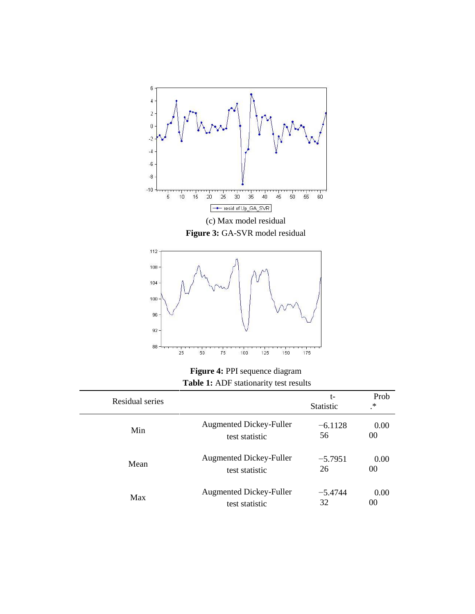

**Figure 4:** PPI sequence diagram **Table 1:** ADF stationarity test results

| Residual series |                                | t-<br><b>Statistic</b> | Prob<br>$^\ast$ |
|-----------------|--------------------------------|------------------------|-----------------|
| Min             | <b>Augmented Dickey-Fuller</b> | $-6.1128$              | 0.00            |
|                 | test statistic                 | 56                     | 00              |
| Mean            | <b>Augmented Dickey-Fuller</b> | $-5.7951$              | 0.00            |
|                 | test statistic                 | 26                     | 00              |
| Max             | <b>Augmented Dickey-Fuller</b> | $-5.4744$              | 0.00            |
|                 | test statistic                 | 32                     | 00              |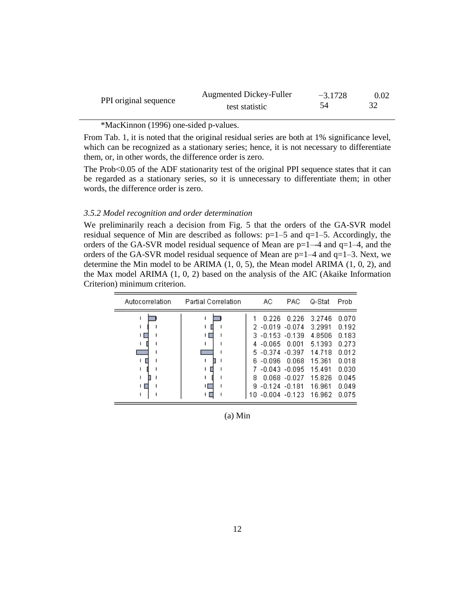|                       | <b>Augmented Dickey-Fuller</b> | $-3.1728$ | 0.02 |
|-----------------------|--------------------------------|-----------|------|
| PPI original sequence | test statistic                 |           |      |

\*MacKinnon (1996) one-sided p-values.

From Tab. 1, it is noted that the original residual series are both at 1% significance level, which can be recognized as a stationary series; hence, it is not necessary to differentiate them, or, in other words, the difference order is zero.

The Prob<0.05 of the ADF stationarity test of the original PPI sequence states that it can be regarded as a stationary series, so it is unnecessary to differentiate them; in other words, the difference order is zero.

## *3.5.2 Model recognition and order determination*

We preliminarily reach a decision from Fig. 5 that the orders of the GA-SVR model residual sequence of Min are described as follows:  $p=1-5$  and  $q=1-5$ . Accordingly, the orders of the GA-SVR model residual sequence of Mean are  $p=1-4$  and  $q=1-4$ , and the orders of the GA-SVR model residual sequence of Mean are  $p=1-4$  and  $q=1-3$ . Next, we determine the Min model to be ARIMA (1, 0, 5), the Mean model ARIMA (1, 0, 2), and the Max model ARIMA  $(1, 0, 2)$  based on the analysis of the AIC (Akaike Information Criterion) minimum criterion.

| Autocorrelation | <b>Partial Correlation</b> |   | AC.                                                                           | PAC.                                                                                                    | Q-Stat                                                                                                            | Prob                                                                                   |
|-----------------|----------------------------|---|-------------------------------------------------------------------------------|---------------------------------------------------------------------------------------------------------|-------------------------------------------------------------------------------------------------------------------|----------------------------------------------------------------------------------------|
|                 | ١ſ                         | 8 | 0.226<br>$2 - 0.019 - 0.074$<br>4 -0.065<br>6 -0.096 -<br>$9 - 0.124 - 0.181$ | 0.226<br>3 -0.153 -0.139<br>0.001<br>$5 - 0.374 - 0.397$<br>0.068<br>7 -0.043 -0.095<br>$0.068 - 0.027$ | 3.2746<br>3.2991<br>4.8506<br>5.1393<br>14.718<br>15.361<br>15.491<br>15.826<br>16.961<br>10 -0.004 -0.123 16.962 | 0.070<br>0.192<br>0.183<br>0.273<br>0.012<br>0.018<br>0.030<br>0.045<br>0.049<br>0.075 |

(a) Min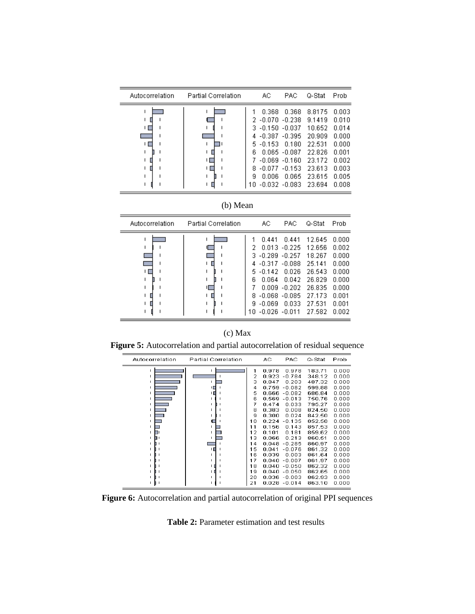| Autocorrelation | <b>Partial Correlation</b> |                                    | АC                                                                                                  | PAC                                                                                                | Q-Stat                                                                                           | Prob                                                                                   |
|-----------------|----------------------------|------------------------------------|-----------------------------------------------------------------------------------------------------|----------------------------------------------------------------------------------------------------|--------------------------------------------------------------------------------------------------|----------------------------------------------------------------------------------------|
| ш               | ш                          | 3.<br>4<br>5.<br>គ<br>8<br>я<br>10 | 0.368<br>$2 -0.070 -0.238$<br>$-0.150 - 0.037$<br>-0.387<br>$-0.153$<br>-0.069<br>$-0.077$<br>0.006 | 0.368<br>$-0.395$<br>0.180<br>$0.065 - 0.087$<br>$-0.160$<br>$-0.153$<br>0.065<br>$-0.032 - 0.083$ | 8.8175<br>9.1419<br>10.652<br>20.909<br>22.531<br>22.826<br>23.172<br>23.613<br>23.615<br>23.694 | 0.003<br>በ በ1በ<br>በ በ14<br>0.000<br>0.000<br>0.001<br>0.002<br>0.003<br>0.005<br>0.008 |

| (b) Mean |
|----------|
|          |

| Autocorrelation | <b>Partial Correlation</b> |                                       | АC                                                                | PAC                                                                                                                           | Q-Stat                                                                                           | Prob                                                                                   |
|-----------------|----------------------------|---------------------------------------|-------------------------------------------------------------------|-------------------------------------------------------------------------------------------------------------------------------|--------------------------------------------------------------------------------------------------|----------------------------------------------------------------------------------------|
|                 |                            | З.<br>4<br>5.<br>6.<br>8.<br>9.<br>1Π | 0.441<br>0.013<br>-0.317.<br>$-0.142$<br>0.064<br>0.009<br>-0.069 | 0.441<br>$-0.225$<br>$-0.289 - 0.257$<br>$-0.088$<br>0.026<br>0.042<br>$-0.202$<br>-0.068 -0.085<br>0.033<br>$-0.026 - 0.011$ | 12.645<br>12.656<br>18.267<br>25.141<br>26.543<br>26.829<br>26.835<br>27.173<br>27.531<br>27.582 | 0.000<br>0.002<br>0.000<br>0.000<br>0.000<br>0.000<br>0.000<br>0.001<br>0.001<br>0.002 |

## (c) Max

**Figure 5:** Autocorrelation and partial autocorrelation of residual sequence

| Autocorrelation | Partial Correlation |    | АC    | PAC      | Q-Stat | Prob  |
|-----------------|---------------------|----|-------|----------|--------|-------|
| ı.              | 1                   | 1  | 0.978 | 0.978    | 183.71 | 0.000 |
| ٠               |                     | 2  | 0.923 | $-0.784$ | 348.12 | 0.000 |
| ı               |                     | з  | 0.847 | 0.203    | 487.32 | 0.000 |
| ٠               | ۱П                  | 4  | 0.759 | $-0.082$ | 599.88 | 0.000 |
| ٠               | нπ                  | 5  | 0.666 | $-0.082$ | 686.84 | 0.000 |
| ٠               |                     | 6  | 0.569 | $-0.013$ | 750.76 | 0.000 |
| ٠               | п                   | 7  | 0.474 | 0.033    | 795.27 | 0.000 |
| ٠               |                     | 8  | 0.383 | 0.008    | 824.50 | 0.000 |
| ٠               |                     | 9  | 0.300 | 0.024    | 842.50 | 0.000 |
| ٠               |                     | 10 | 0.224 | $-0.135$ | 852.58 | 0.000 |
|                 |                     | 11 | 0.156 | 0.143    | 857.53 | 0.000 |
| ٠               |                     | 12 | 0.101 | 0.181    | 859.62 | 0.000 |
|                 |                     | 13 | 0.066 | 0.213    | 860.51 | 0.000 |
|                 |                     | 14 | 0.048 | $-0.285$ | 860.97 | 0.000 |
|                 |                     | 15 | 0.041 | $-0.076$ | 861.32 | 0.000 |
|                 |                     | 16 | 0.039 | 0.003    | 861.64 | 0.000 |
|                 |                     | 17 | 0.040 | $-0.007$ | 861.97 | 0.000 |
|                 | нπ                  | 18 | 0.040 | $-0.050$ | 862.32 | 0.000 |
|                 | нπ                  | 19 | 0.040 | $-0.050$ | 862.65 | 0.000 |
|                 |                     | 20 | 0.036 | $-0.003$ | 862.93 | 0.000 |
| ٠<br>П          |                     | 21 | 0.028 | $-0.014$ | 863.10 | 0.000 |

**Figure 6:** Autocorrelation and partial autocorrelation of original PPI sequences

**Table 2:** Parameter estimation and test results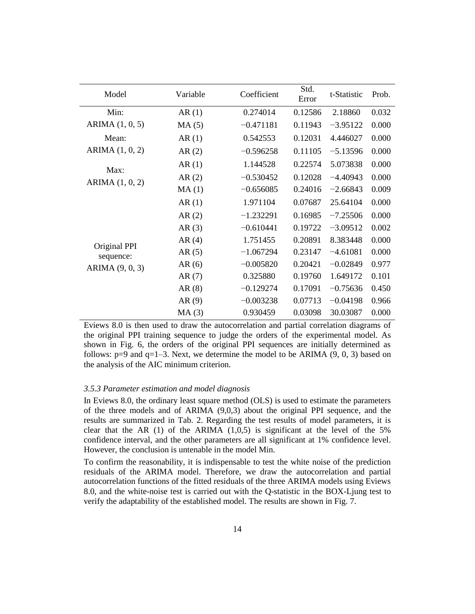| Model                   | Variable | Coefficient |         | t-Statistic | Prob. |
|-------------------------|----------|-------------|---------|-------------|-------|
| Min:                    | AR(1)    | 0.274014    | 0.12586 | 2.18860     | 0.032 |
| ARIMA (1, 0, 5)         | MA(5)    | $-0.471181$ | 0.11943 | $-3.95122$  | 0.000 |
| Mean:                   | AR(1)    | 0.542553    | 0.12031 | 4.446027    | 0.000 |
| ARIMA (1, 0, 2)         | AR(2)    | $-0.596258$ | 0.11105 | $-5.13596$  | 0.000 |
|                         | AR(1)    | 1.144528    | 0.22574 | 5.073838    | 0.000 |
| Max:<br>ARIMA (1, 0, 2) | AR(2)    | $-0.530452$ | 0.12028 | $-4.40943$  | 0.000 |
|                         | MA(1)    | $-0.656085$ | 0.24016 | $-2.66843$  | 0.009 |
|                         | AR(1)    | 1.971104    | 0.07687 | 25.64104    | 0.000 |
|                         | AR(2)    | $-1.232291$ | 0.16985 | $-7.25506$  | 0.000 |
|                         | AR(3)    | $-0.610441$ | 0.19722 | $-3.09512$  | 0.002 |
| Original PPI            | AR(4)    | 1.751455    | 0.20891 | 8.383448    | 0.000 |
| sequence:               | AR(5)    | $-1.067294$ | 0.23147 | $-4.61081$  | 0.000 |
| ARIMA (9, 0, 3)         | AR(6)    | $-0.005820$ | 0.20421 | $-0.02849$  | 0.977 |
|                         | AR(7)    | 0.325880    | 0.19760 | 1.649172    | 0.101 |
|                         | AR(8)    | $-0.129274$ | 0.17091 | $-0.75636$  | 0.450 |
|                         | AR(9)    | $-0.003238$ | 0.07713 | $-0.04198$  | 0.966 |
|                         | MA(3)    | 0.930459    | 0.03098 | 30.03087    | 0.000 |

Eviews 8.0 is then used to draw the autocorrelation and partial correlation diagrams of the original PPI training sequence to judge the orders of the experimental model. As shown in Fig. 6, the orders of the original PPI sequences are initially determined as follows:  $p=9$  and  $q=1-3$ . Next, we determine the model to be ARIMA (9, 0, 3) based on the analysis of the AIC minimum criterion.

#### *3.5.3 Parameter estimation and model diagnosis*

In Eviews 8.0, the ordinary least square method (OLS) is used to estimate the parameters of the three models and of ARIMA (9,0,3) about the original PPI sequence, and the results are summarized in Tab. 2. Regarding the test results of model parameters, it is clear that the AR  $(1)$  of the ARIMA  $(1,0,5)$  is significant at the level of the 5% confidence interval, and the other parameters are all significant at 1% confidence level. However, the conclusion is untenable in the model Min.

To confirm the reasonability, it is indispensable to test the white noise of the prediction residuals of the ARIMA model. Therefore, we draw the autocorrelation and partial autocorrelation functions of the fitted residuals of the three ARIMA models using Eviews 8.0, and the white-noise test is carried out with the Q-statistic in the BOX-Ljung test to verify the adaptability of the established model. The results are shown in Fig. 7.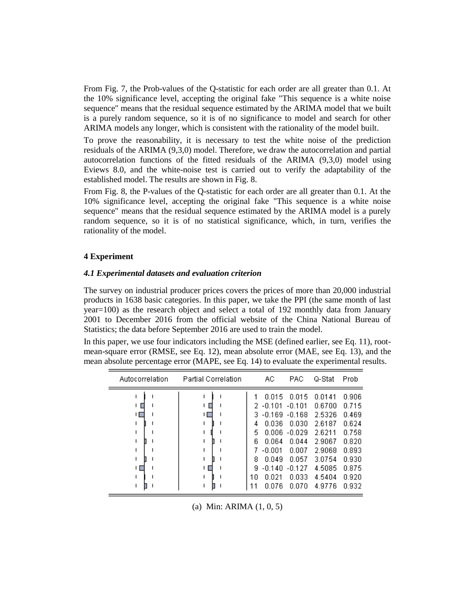From Fig. 7, the Prob-values of the Q-statistic for each order are all greater than 0.1. At the 10% significance level, accepting the original fake "This sequence is a white noise sequence" means that the residual sequence estimated by the ARIMA model that we built is a purely random sequence, so it is of no significance to model and search for other ARIMA models any longer, which is consistent with the rationality of the model built.

To prove the reasonability, it is necessary to test the white noise of the prediction residuals of the ARIMA (9,3,0) model. Therefore, we draw the autocorrelation and partial autocorrelation functions of the fitted residuals of the ARIMA (9,3,0) model using Eviews 8.0, and the white-noise test is carried out to verify the adaptability of the established model. The results are shown in Fig. 8.

From Fig. 8, the P-values of the Q-statistic for each order are all greater than 0.1. At the 10% significance level, accepting the original fake "This sequence is a white noise sequence" means that the residual sequence estimated by the ARIMA model is a purely random sequence, so it is of no statistical significance, which, in turn, verifies the rationality of the model.

## **4 Experiment**

## *4.1 Experimental datasets and evaluation criterion*

The survey on industrial producer prices covers the prices of more than 20,000 industrial products in 1638 basic categories. In this paper, we take the PPI (the same month of last year=100) as the research object and select a total of 192 monthly data from January 2001 to December 2016 from the official website of the China National Bureau of Statistics; the data before September 2016 are used to train the model.

In this paper, we use four indicators including the MSE (defined earlier, see Eq. 11), rootmean-square error (RMSE, see Eq. 12), mean absolute error (MAE, see Eq. 13), and the mean absolute percentage error (MAPE, see Eq. 14) to evaluate the experimental results.

| Autocorrelation | <b>Partial Correlation</b> |                               | АC                                                                            | PAC                                                                           | Q-Stat                                                                       | Prob                                                                 |
|-----------------|----------------------------|-------------------------------|-------------------------------------------------------------------------------|-------------------------------------------------------------------------------|------------------------------------------------------------------------------|----------------------------------------------------------------------|
|                 | нΓ                         | 2.<br>3.<br>4<br>5.<br>6<br>8 | 0.015<br>$-0.101$<br>$-0.169$<br>0.036<br>0.006<br>0.064<br>$-0.001$<br>0.049 | 0.015<br>$-0.101$<br>$-0.168$<br>0.030<br>$-0.029$<br>0.044<br>0.007<br>0.057 | 0.0141<br>0.6700<br>2.5326<br>2.6187<br>2.6211<br>2.9067<br>2.9068<br>3.0754 | 0.906<br>0.715<br>0.469<br>0.624<br>0.758<br>0.820<br>0.893<br>0.930 |
|                 |                            | g<br>10<br>11                 | $-0.140$<br>በ በ21<br>0.076                                                    | $-0.127$<br>0.033<br>0.070                                                    | 4.5085<br>4.5404<br>4.9776                                                   | 0.875<br>0.920<br>0.932                                              |

(a) Min: ARIMA (1, 0, 5)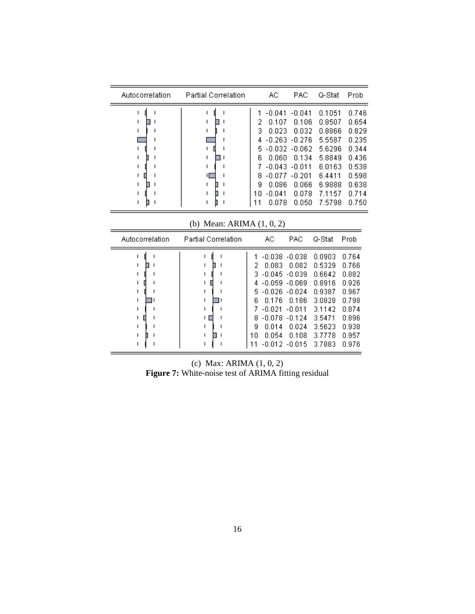| АC<br>Autocorrelation<br>Q-Stat<br>Prob<br><b>Partial Correlation</b><br>PAC<br>$-0.041$<br>0.1051<br>$-0.041$<br>0.106<br>2<br>0.107<br>0.8507<br>0.032<br>0.8866<br>0.023<br>з<br>4 -0.263 -0.276<br>5.5587<br>5.6296<br>5.<br>$-0.032$ $-0.062$<br>0.060<br>0.134<br>5.8849<br>6<br>6.0163<br>$-0.043$ $-0.011$<br>$-0.077$<br>6.4411<br>$-0.201$<br>8.<br>я<br>0.086<br>0.066<br>6.9888<br>0.078<br>$-0.041$<br>7.1157<br>1 N | 0.654<br>0.829<br>0.235<br>0.344<br>0.538<br>0.598<br>0.638<br>0.714<br>0.750<br>0.078<br>7.5798<br>0.050 |  |  |  |                |
|-----------------------------------------------------------------------------------------------------------------------------------------------------------------------------------------------------------------------------------------------------------------------------------------------------------------------------------------------------------------------------------------------------------------------------------|-----------------------------------------------------------------------------------------------------------|--|--|--|----------------|
|                                                                                                                                                                                                                                                                                                                                                                                                                                   |                                                                                                           |  |  |  |                |
|                                                                                                                                                                                                                                                                                                                                                                                                                                   |                                                                                                           |  |  |  | 0.746<br>0.436 |
|                                                                                                                                                                                                                                                                                                                                                                                                                                   |                                                                                                           |  |  |  |                |

(b) Mean: ARIMA (1, 0, 2)

| Autocorrelation | <b>Partial Correlation</b> |                                         | АC                                                                                   | <b>PAC</b>                                                                                               | Q-Stat                                                                                           | Prob                                                                                   |
|-----------------|----------------------------|-----------------------------------------|--------------------------------------------------------------------------------------|----------------------------------------------------------------------------------------------------------|--------------------------------------------------------------------------------------------------|----------------------------------------------------------------------------------------|
|                 |                            | 2<br>3.<br>4<br>5.<br>ค<br>8<br>я<br>10 | 0.083<br>$-0.045 - 0.039$<br>$-0.026 - 0.024$<br>0.176<br>$-0.021$<br>0.014<br>0.054 | $-0.038 - 0.038$<br>0.082<br>$-0.059 - 0.069$<br>0.186<br>$-0.011$<br>$-0.078 - 0.124$<br>0.024<br>0.108 | 0.0903<br>0.5329<br>0.6642<br>0.8916<br>በ 9387<br>3.0828<br>3.1142<br>3.5471<br>3.5623<br>3.7778 | 0.764<br>0.766<br>0.882<br>0.926<br>0.967<br>0.798<br>0.874<br>0.896<br>0.938<br>0.957 |
|                 |                            |                                         | $-0.012$                                                                             | $-0.015$                                                                                                 | 3.7883                                                                                           | 0.976                                                                                  |

(c) Max: ARIMA (1, 0, 2) **Figure 7:** White-noise test of ARIMA fitting residual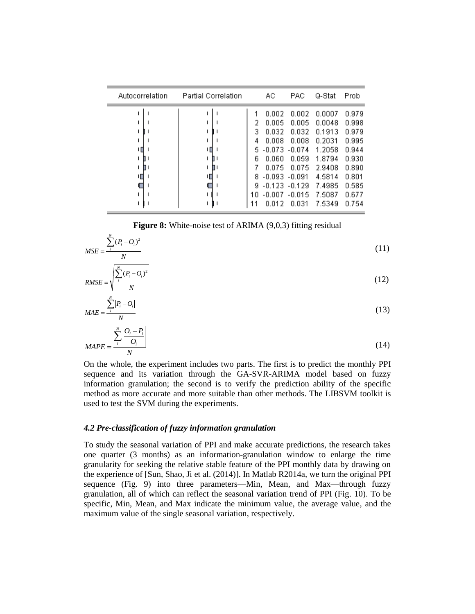| Autocorrelation | <b>Partial Correlation</b> |                                       | АC                                                                                                | PAC                                                                             | Q-Stat                                                                                           | Prob                                                                                   |
|-----------------|----------------------------|---------------------------------------|---------------------------------------------------------------------------------------------------|---------------------------------------------------------------------------------|--------------------------------------------------------------------------------------------------|----------------------------------------------------------------------------------------|
|                 | ╓                          | 2<br>з<br>4<br>5<br>6<br>8<br>я<br>10 | 0.002<br>0.005<br>0.032<br>0.008<br>-0.073<br>0.060<br>0.075<br>$-0.093 - 0.091$<br>-0.123 -0.129 | 0.002<br>0.005<br>0.032<br>0.008<br>$-0.074$<br>0.059<br>0.075<br>-0.007 -0.015 | 0.0007<br>0.0048<br>0.1913<br>0.2031<br>1.2058<br>1.8794<br>2.9408<br>4.5814<br>7.4985<br>7.5087 | 0.979<br>0.998<br>0.979<br>0.995<br>0.944<br>0.930<br>0.890<br>0.801<br>0.585<br>0.677 |
|                 |                            | 1                                     | 0.012                                                                                             | 0.031                                                                           | 7.5349                                                                                           | 0.754                                                                                  |

**Figure 8:** White-noise test of ARIMA (9,0,3) fitting residual

$$
MSE = \frac{\sum_{i}^{N} (P_i - O_i)^2}{N}
$$
\n(11)

$$
RMSE = \sqrt{\frac{\sum_{i}^{N} (P_i - O_i)^2}{N}}
$$
 (12)

$$
MAE = \frac{\sum_{i}^{N} |P_i - O_i|}{N}
$$

$$
\sum_{i}^{N} |O_i - P_i|
$$
(13)

$$
MAPE = \frac{\sum_{i}^{N} \left| \frac{O_i - P_i}{O_i} \right|}{N}
$$
\n(14)

On the whole, the experiment includes two parts. The first is to predict the monthly PPI sequence and its variation through the GA-SVR-ARIMA model based on fuzzy information granulation; the second is to verify the prediction ability of the specific method as more accurate and more suitable than other methods. The LIBSVM toolkit is used to test the SVM during the experiments.

## *4.2 Pre-classification of fuzzy information granulation*

To study the seasonal variation of PPI and make accurate predictions, the research takes one quarter (3 months) as an information-granulation window to enlarge the time granularity for seeking the relative stable feature of the PPI monthly data by drawing on the experience of [Sun, Shao, Ji et al. (2014)]. In Matlab R2014a, we turn the original PPI sequence (Fig. 9) into three parameters—Min, Mean, and Max—through fuzzy granulation, all of which can reflect the seasonal variation trend of PPI (Fig. 10). To be specific, Min, Mean, and Max indicate the minimum value, the average value, and the maximum value of the single seasonal variation, respectively.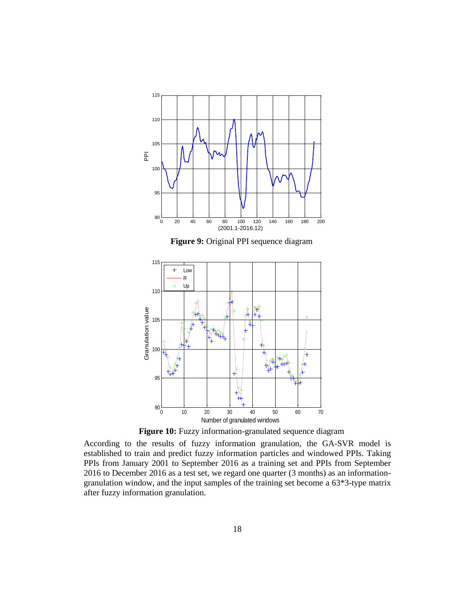

**Figure 9:** Original PPI sequence diagram



**Figure 10:** Fuzzy information-granulated sequence diagram

According to the results of fuzzy information granulation, the GA-SVR model is established to train and predict fuzzy information particles and windowed PPIs. Taking PPIs from January 2001 to September 2016 as a training set and PPIs from September 2016 to December 2016 as a test set, we regard one quarter (3 months) as an informationgranulation window, and the input samples of the training set become a 63\*3-type matrix after fuzzy information granulation.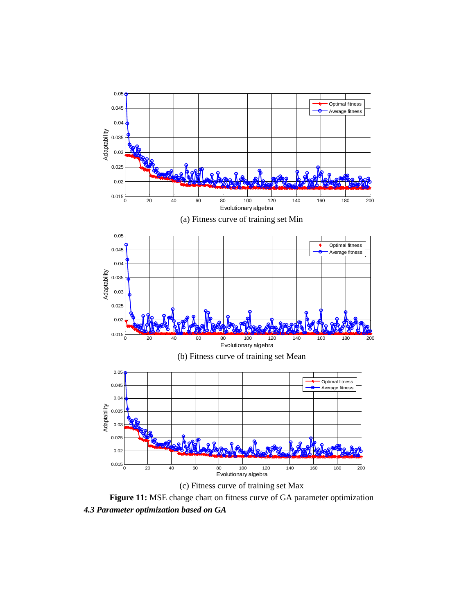

**Figure 11:** MSE change chart on fitness curve of GA parameter optimization *4.3 Parameter optimization based on GA*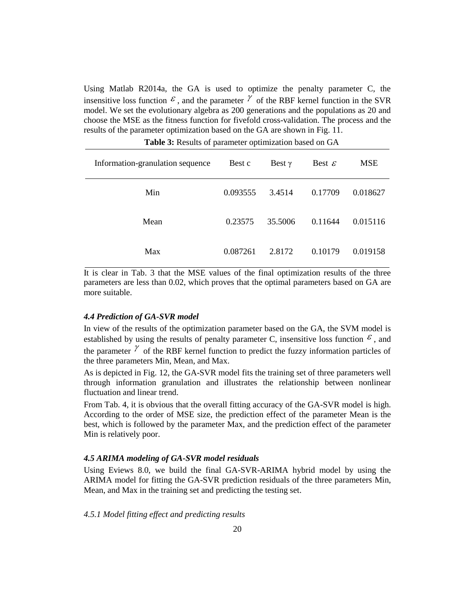Using Matlab R2014a, the GA is used to optimize the penalty parameter C, the insensitive loss function  $\epsilon$ , and the parameter  $\gamma$  of the RBF kernel function in the SVR model. We set the evolutionary algebra as 200 generations and the populations as 20 and choose the MSE as the fitness function for fivefold cross-validation. The process and the results of the parameter optimization based on the GA are shown in Fig. 11.

| Information-granulation sequence | Best c   | Best $\gamma$ | Best $\varepsilon$ | <b>MSE</b> |
|----------------------------------|----------|---------------|--------------------|------------|
| Min                              | 0.093555 | 3.4514        | 0.17709            | 0.018627   |
| Mean                             | 0.23575  | 35.5006       | 0.11644            | 0.015116   |
| Max                              | 0.087261 | 2.8172        | 0.10179            | 0.019158   |

**Table 3:** Results of parameter optimization based on GA

It is clear in Tab. 3 that the MSE values of the final optimization results of the three parameters are less than 0.02, which proves that the optimal parameters based on GA are more suitable.

## *4.4 Prediction of GA-SVR model*

In view of the results of the optimization parameter based on the GA, the SVM model is established by using the results of penalty parameter C, insensitive loss function  $\epsilon$ , and the parameter  $\gamma$  of the RBF kernel function to predict the fuzzy information particles of the three parameters Min, Mean, and Max.

As is depicted in Fig. 12, the GA-SVR model fits the training set of three parameters well through information granulation and illustrates the relationship between nonlinear fluctuation and linear trend.

From Tab. 4, it is obvious that the overall fitting accuracy of the GA-SVR model is high. According to the order of MSE size, the prediction effect of the parameter Mean is the best, which is followed by the parameter Max, and the prediction effect of the parameter Min is relatively poor.

## *4.5 ARIMA modeling of GA-SVR model residuals*

Using Eviews 8.0, we build the final GA-SVR-ARIMA hybrid model by using the ARIMA model for fitting the GA-SVR prediction residuals of the three parameters Min, Mean, and Max in the training set and predicting the testing set.

*4.5.1 Model fitting effect and predicting results*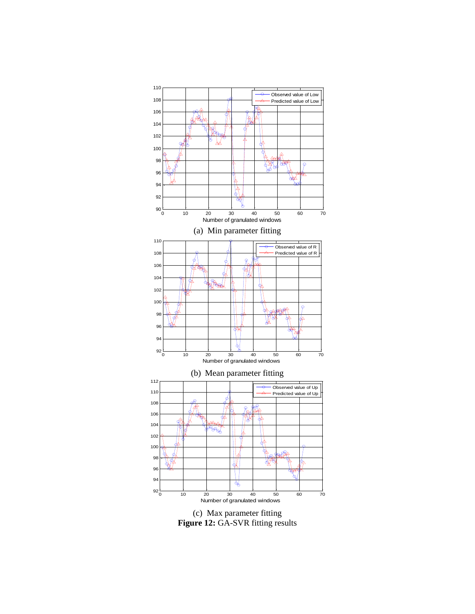

(c) Max parameter fitting **Figure 12:** GA-SVR fitting results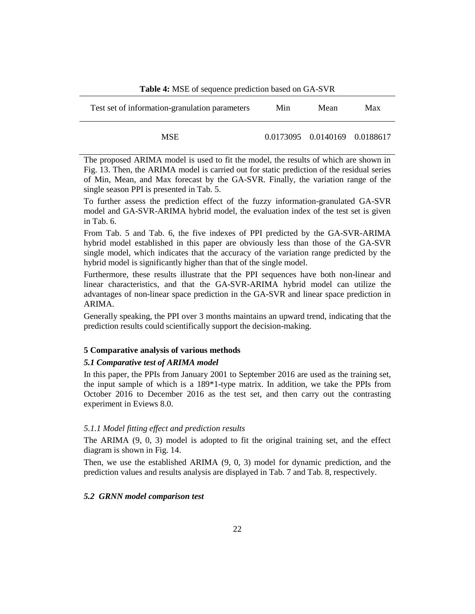| <b>Table 4:</b> MSE of sequence prediction based on GA-SVR |      |  |  |  |  |
|------------------------------------------------------------|------|--|--|--|--|
| Test set of information-granulation parameters             | Max  |  |  |  |  |
| Min                                                        | Mean |  |  |  |  |

**Table 4:** MSE of sequence prediction based on GA-SVR

÷

The proposed ARIMA model is used to fit the model, the results of which are shown in Fig. 13. Then, the ARIMA model is carried out for static prediction of the residual series of Min, Mean, and Max forecast by the GA-SVR. Finally, the variation range of the single season PPI is presented in Tab. 5.

To further assess the prediction effect of the fuzzy information-granulated GA-SVR model and GA-SVR-ARIMA hybrid model, the evaluation index of the test set is given in Tab. 6.

From Tab. 5 and Tab. 6, the five indexes of PPI predicted by the GA-SVR-ARIMA hybrid model established in this paper are obviously less than those of the GA-SVR single model, which indicates that the accuracy of the variation range predicted by the hybrid model is significantly higher than that of the single model.

Furthermore, these results illustrate that the PPI sequences have both non-linear and linear characteristics, and that the GA-SVR-ARIMA hybrid model can utilize the advantages of non-linear space prediction in the GA-SVR and linear space prediction in ARIMA.

Generally speaking, the PPI over 3 months maintains an upward trend, indicating that the prediction results could scientifically support the decision-making.

## **5 Comparative analysis of various methods**

## *5.1 Comparative test of ARIMA model*

In this paper, the PPIs from January 2001 to September 2016 are used as the training set, the input sample of which is a 189\*1-type matrix. In addition, we take the PPIs from October 2016 to December 2016 as the test set, and then carry out the contrasting experiment in Eviews 8.0.

## *5.1.1 Model fitting effect and prediction results*

The ARIMA (9, 0, 3) model is adopted to fit the original training set, and the effect diagram is shown in Fig. 14.

Then, we use the established ARIMA (9, 0, 3) model for dynamic prediction, and the prediction values and results analysis are displayed in Tab. 7 and Tab. 8, respectively.

## *5.2 GRNN model comparison test*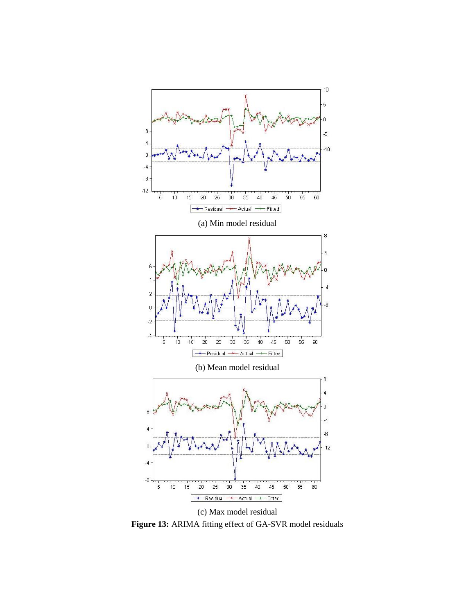

**Figure 13:** ARIMA fitting effect of GA-SVR model residuals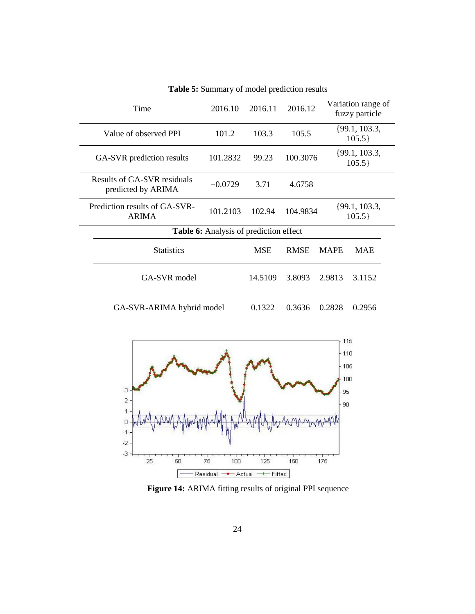| Time                                              | 2016.10   | 2016.11    | 2016.12     |                           | Variation range of<br>fuzzy particle |
|---------------------------------------------------|-----------|------------|-------------|---------------------------|--------------------------------------|
| Value of observed PPI                             | 101.2     | 103.3      | 105.5       | $\{99.1, 103.3,$<br>105.5 |                                      |
| GA-SVR prediction results                         | 101.2832  | 99.23      | 100.3076    | $\{99.1, 103.3,$<br>105.5 |                                      |
| Results of GA-SVR residuals<br>predicted by ARIMA | $-0.0729$ | 3.71       | 4.6758      |                           |                                      |
| Prediction results of GA-SVR-<br><b>ARIMA</b>     | 101.2103  | 102.94     | 104.9834    | $\{99.1, 103.3,$<br>105.5 |                                      |
| <b>Table 6:</b> Analysis of prediction effect     |           |            |             |                           |                                      |
| <b>Statistics</b>                                 |           | <b>MSE</b> | <b>RMSE</b> | <b>MAPE</b>               | <b>MAE</b>                           |
| GA-SVR model                                      |           | 14.5109    | 3.8093      | 2.9813                    | 3.1152                               |
| GA-SVR-ARIMA hybrid model                         |           | 0.1322     | 0.3636      | 0.2828                    | 0.2956                               |

**Table 5:** Summary of model prediction results



**Figure 14:** ARIMA fitting results of original PPI sequence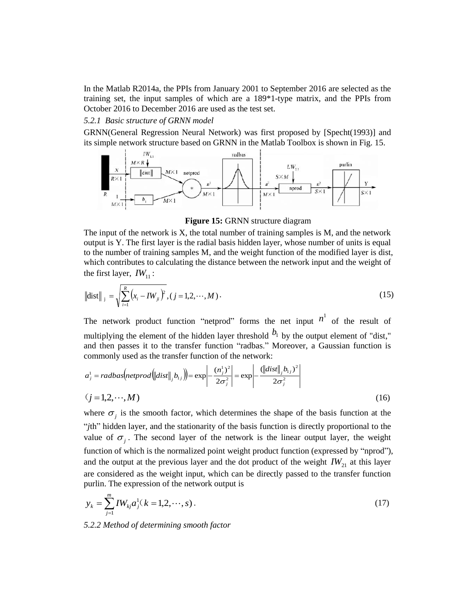In the Matlab R2014a, the PPIs from January 2001 to September 2016 are selected as the training set, the input samples of which are a 189\*1-type matrix, and the PPIs from October 2016 to December 2016 are used as the test set.

## *5.2.1 Basic structure of GRNN model*

GRNN(General Regression Neural Network) was first proposed by [Specht(1993)] and its simple network structure based on GRNN in the Matlab Toolbox is shown in Fig. 15.



**Figure 15:** GRNN structure diagram

The input of the network is  $X$ , the total number of training samples is  $M$ , and the network output is Y. The first layer is the radial basis hidden layer, whose number of units is equal to the number of training samples M, and the weight function of the modified layer is dist, which contributes to calculating the distance between the network input and the weight of the first layer,  $IW_{11}$ :

$$
\left\| \text{dist} \right\|_{j} = \sqrt{\sum_{i=1}^{R} (x_i - I W_{ji})^2}, (j = 1, 2, \cdots, M). \tag{15}
$$

The network product function "netprod" forms the net input  $n^1$  of the result of multiplying the element of the hidden layer threshold  $b_1$  by the output element of "dist," and then passes it to the transfer function "radbas." Moreover, a Gaussian function is commonly used as the transfer function of the network:

$$
a_j^1 = radbas[netprod[dist]]_j b_{1j}] = \exp\left[-\frac{(n_j^1)^2}{2\sigma_j^2}\right] = \exp\left[-\frac{(\left\|dist\right\|_j b_{1j})^2}{2\sigma_j^2}\right]
$$
  
(j = 1,2,...,M) (16)

where  $\sigma_j$  is the smooth factor, which determines the shape of the basis function at the "*j*th" hidden layer, and the stationarity of the basis function is directly proportional to the value of  $\sigma_j$ . The second layer of the network is the linear output layer, the weight function of which is the normalized point weight product function (expressed by "nprod"), and the output at the previous layer and the dot product of the weight  $IW_{21}$  at this layer are considered as the weight input, which can be directly passed to the transfer function purlin. The expression of the network output is

$$
y_k = \sum_{j=1}^{m} I W_{kj} a_j^1(k = 1, 2, \cdots, s).
$$
 (17)

*5.2.2 Method of determining smooth factor*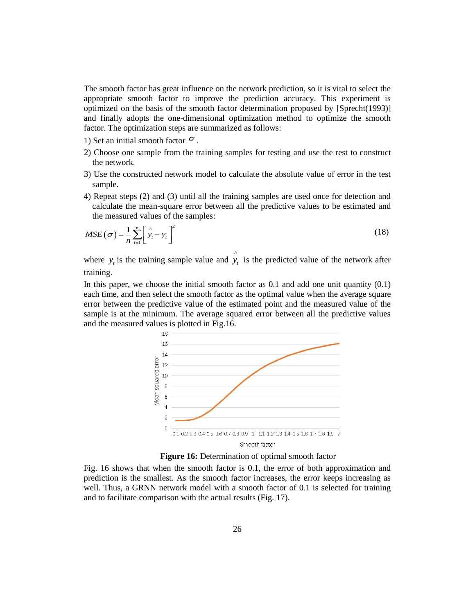The smooth factor has great influence on the network prediction, so it is vital to select the appropriate smooth factor to improve the prediction accuracy. This experiment is optimized on the basis of the smooth factor determination proposed by [Sprecht(1993)] and finally adopts the one-dimensional optimization method to optimize the smooth factor. The optimization steps are summarized as follows:

- 1) Set an initial smooth factor  $\sigma$ .
- 2) Choose one sample from the training samples for testing and use the rest to construct the network.
- 3) Use the constructed network model to calculate the absolute value of error in the test sample.
- 4) Repeat steps (2) and (3) until all the training samples are used once for detection and calculate the mean-square error between all the predictive values to be estimated and the measured values of the samples:

$$
MSE(\sigma) = \frac{1}{n} \sum_{i=1}^{n} \left[ \hat{y}_i - y_i \right]^2
$$
 (18)

where  $y_t$  is the training sample value and  $\hat{y}_t$  is the predicted value of the network after training.

In this paper, we choose the initial smooth factor as  $0.1$  and add one unit quantity  $(0.1)$ each time, and then select the smooth factor as the optimal value when the average square error between the predictive value of the estimated point and the measured value of the sample is at the minimum. The average squared error between all the predictive values and the measured values is plotted in Fig.16.



**Figure 16:** Determination of optimal smooth factor

Fig. 16 shows that when the smooth factor is 0.1, the error of both approximation and prediction is the smallest. As the smooth factor increases, the error keeps increasing as well. Thus, a GRNN network model with a smooth factor of 0.1 is selected for training and to facilitate comparison with the actual results (Fig. 17).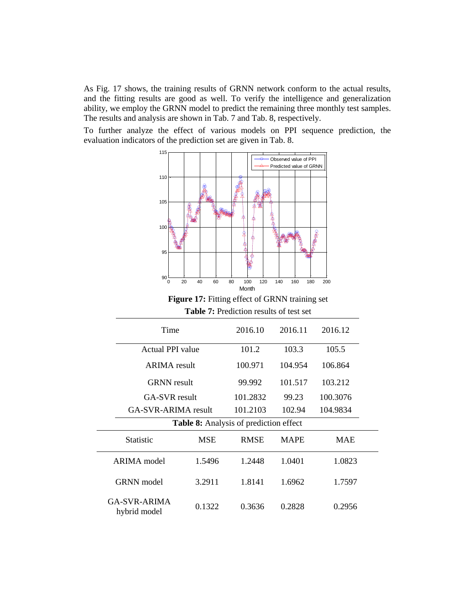As Fig. 17 shows, the training results of GRNN network conform to the actual results, and the fitting results are good as well. To verify the intelligence and generalization ability, we employ the GRNN model to predict the remaining three monthly test samples. The results and analysis are shown in Tab. 7 and Tab. 8, respectively.

To further analyze the effect of various models on PPI sequence prediction, the evaluation indicators of the prediction set are given in Tab. 8.



**Figure 17:** Fitting effect of GRNN training set **Table 7:** Prediction results of test set

| Time                                   |                  | 2016.10     | 2016.11     |            |  |
|----------------------------------------|------------------|-------------|-------------|------------|--|
|                                        | Actual PPI value |             | 103.3       | 105.5      |  |
| <b>ARIMA</b> result                    |                  | 100.971     | 104.954     | 106.864    |  |
| <b>GRNN</b> result                     |                  | 99.992      | 101.517     | 103.212    |  |
| GA-SVR result                          |                  | 101.2832    | 99.23       | 100.3076   |  |
| GA-SVR-ARIMA result                    |                  | 101.2103    | 102.94      | 104.9834   |  |
| Table 8: Analysis of prediction effect |                  |             |             |            |  |
| Statistic                              | <b>MSE</b>       | <b>RMSE</b> | <b>MAPE</b> | <b>MAE</b> |  |
| ARIMA model                            | 1.5496           | 1.2448      | 1.0401      | 1.0823     |  |
| <b>GRNN</b> model                      | 3.2911           | 1.8141      | 1.6962      | 1.7597     |  |
| <b>GA-SVR-ARIMA</b><br>hybrid model    | 0.1322           | 0.3636      | 0.2828      | 0.2956     |  |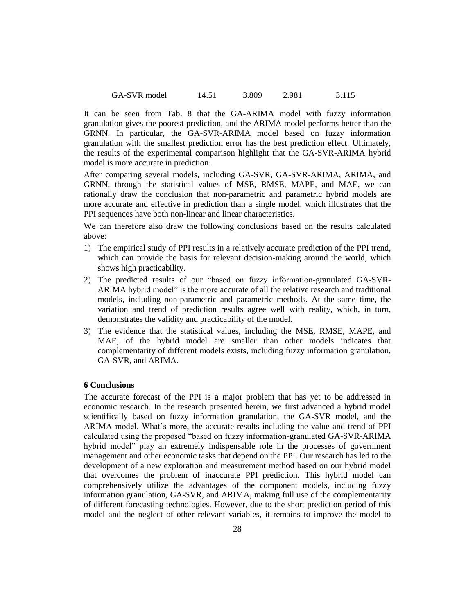| GA-SVR model | 14.51 | 3.809 | 2.981 | 3.115 |
|--------------|-------|-------|-------|-------|
|              |       |       |       |       |

It can be seen from Tab. 8 that the GA-ARIMA model with fuzzy information granulation gives the poorest prediction, and the ARIMA model performs better than the GRNN. In particular, the GA-SVR-ARIMA model based on fuzzy information granulation with the smallest prediction error has the best prediction effect. Ultimately, the results of the experimental comparison highlight that the GA-SVR-ARIMA hybrid model is more accurate in prediction.

After comparing several models, including GA-SVR, GA-SVR-ARIMA, ARIMA, and GRNN, through the statistical values of MSE, RMSE, MAPE, and MAE, we can rationally draw the conclusion that non-parametric and parametric hybrid models are more accurate and effective in prediction than a single model, which illustrates that the PPI sequences have both non-linear and linear characteristics.

We can therefore also draw the following conclusions based on the results calculated above:

- 1) The empirical study of PPI results in a relatively accurate prediction of the PPI trend, which can provide the basis for relevant decision-making around the world, which shows high practicability.
- 2) The predicted results of our "based on fuzzy information-granulated GA-SVR-ARIMA hybrid model" is the more accurate of all the relative research and traditional models, including non-parametric and parametric methods. At the same time, the variation and trend of prediction results agree well with reality, which, in turn, demonstrates the validity and practicability of the model.
- 3) The evidence that the statistical values, including the MSE, RMSE, MAPE, and MAE, of the hybrid model are smaller than other models indicates that complementarity of different models exists, including fuzzy information granulation, GA-SVR, and ARIMA.

## **6 Conclusions**

The accurate forecast of the PPI is a major problem that has yet to be addressed in economic research. In the research presented herein, we first advanced a hybrid model scientifically based on fuzzy information granulation, the GA-SVR model, and the ARIMA model. What's more, the accurate results including the value and trend of PPI calculated using the proposed "based on fuzzy information-granulated GA-SVR-ARIMA hybrid model" play an extremely indispensable role in the processes of government management and other economic tasks that depend on the PPI. Our research has led to the development of a new exploration and measurement method based on our hybrid model that overcomes the problem of inaccurate PPI prediction. This hybrid model can comprehensively utilize the advantages of the component models, including fuzzy information granulation, GA-SVR, and ARIMA, making full use of the complementarity of different forecasting technologies. However, due to the short prediction period of this model and the neglect of other relevant variables, it remains to improve the model to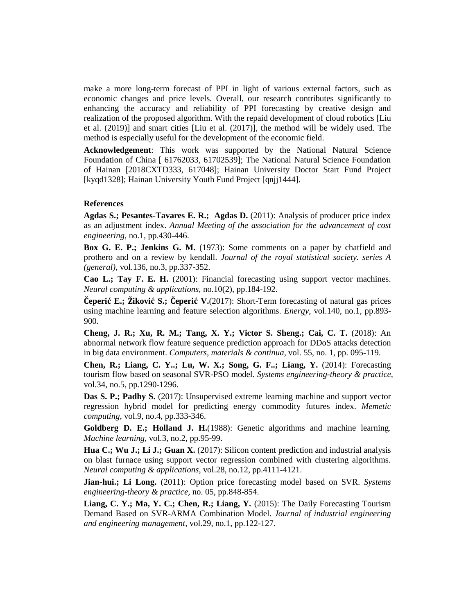make a more long-term forecast of PPI in light of various external factors, such as economic changes and price levels. Overall, our research contributes significantly to enhancing the accuracy and reliability of PPI forecasting by creative design and realization of the proposed algorithm. With the repaid development of cloud robotics [Liu et al. (2019)] and smart cities [Liu et al. (2017)], the method will be widely used. The method is especially useful for the development of the economic field.

**Acknowledgement**: This work was supported by the National Natural Science Foundation of China [ 61762033, 61702539]; The National Natural Science Foundation of Hainan [2018CXTD333, 617048]; Hainan University Doctor Start Fund Project [kyqd1328]; Hainan University Youth Fund Project [qnjj1444].

## **References**

**Agdas S.; Pesantes-Tavares E. R.; Agdas D.** (2011): Analysis of producer price index as an adjustment index. *Annual Meeting of the association for the advancement of cost engineering*, no.1, pp.430-446.

**Box G. E. P.; Jenkins G. M.** (1973): Some comments on a paper by chatfield and prothero and on a review by kendall. *Journal of the royal statistical society. series A (general)*, vol.136, no.3, pp.337-352.

**Cao L.; Tay F. E. H.** (2001): Financial forecasting using support vector machines. *Neural computing & applications,* no.10(2), pp.184-192.

**Čeperić E.; Žiković S.; Čeperić V.**(2017): Short-Term forecasting of natural gas prices using machine learning and feature selection algorithms. *Energy*, vol.140, no.1, pp.893- 900.

**Cheng, J. R.; Xu, R. M.; Tang, X. Y.; Victor S. Sheng.; Cai, C. T.** (2018): An abnormal network flow feature sequence prediction approach for DDoS attacks detection in big data environment. *Computers, materials & continua,* vol. 55, no. 1, pp. 095-119.

**Chen, R.; Liang, C. Y..; Lu, W. X.; Song, G. F..; Liang, Y.** (2014): Forecasting tourism flow based on seasonal SVR-PSO model. *Systems engineering-theory & practice,* vol.34, no.5, pp.1290-1296.

**Das S. P.; Padhy S.** (2017): Unsupervised extreme learning machine and support vector regression hybrid model for predicting energy commodity futures index. *Memetic computing,* vol.9, no.4, pp.333-346.

**Goldberg D. E.; Holland J. H.**(1988): Genetic algorithms and machine learning. *Machine learning,* vol.3, no.2, pp.95-99.

**Hua C.; Wu J.; Li J.; Guan X.** (2017): Silicon content prediction and industrial analysis on blast furnace using support vector regression combined with clustering algorithms. *Neural computing & applications*, vol.28, no.12, pp.4111-4121.

**Jian-hui.; Li Long.** (2011): Option price forecasting model based on SVR. *Systems engineering-theory & practice,* no. 05, pp.848-854.

**Liang, C. Y.; Ma, Y. C.; Chen, R.; Liang, Y.** (2015): The Daily Forecasting Tourism Demand Based on SVR-ARMA Combination Model. *Journal of industrial engineering and engineering management,* vol.29, no.1, pp.122-127.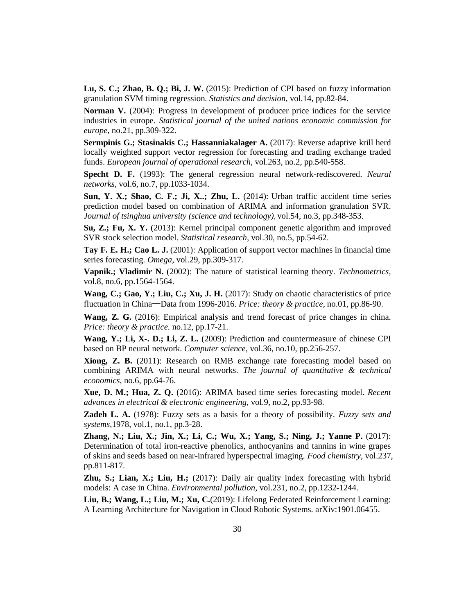**Lu, S. C.; Zhao, B. Q.; Bi, J. W.** (2015): Prediction of CPI based on fuzzy information granulation SVM timing regression. *Statistics and decision,* vol.14, pp.82-84.

**Norman V.** (2004): Progress in development of producer price indices for the service industries in europe. *Statistical journal of the united nations economic commission for europe,* no.21, pp.309-322.

**Sermpinis G.; Stasinakis C.; Hassanniakalager A.** (2017): Reverse adaptive krill herd locally weighted support vector regression for forecasting and trading exchange traded funds. *European journal of operational research,* vol.263, no.2, pp.540-558.

**Specht D. F.** (1993): The general regression neural network-rediscovered. *Neural networks,* vol.6, no.7, pp.1033-1034.

**Sun, Y. X.; Shao, C. F.; Ji, X..; Zhu, L.** (2014): Urban traffic accident time series prediction model based on combination of ARIMA and information granulation SVR. *Journal of tsinghua university (science and technology)*, vol.54, no.3, pp.348-353.

**Su, Z.; Fu, X. Y.** (2013): Kernel principal component genetic algorithm and improved SVR stock selection model. *Statistical research,* vol.30, no.5, pp.54-62.

**Tay F. E. H.; Cao L. J.** (2001): Application of support vector machines in financial time series forecasting*. Omega,* vol.29, pp.309-317.

**Vapnik.; Vladimir N.** (2002): The nature of statistical learning theory. *Technometrics,* vol.8, no.6, pp.1564-1564.

**Wang, C.; Gao, Y.; Liu, C.; Xu, J. H.** (2017): Study on chaotic characteristics of price fluctuation in China—Data from 1996-2016. *Price: theory & practice,* no.01, pp.86-90.

**Wang, Z. G.** (2016): Empirical analysis and trend forecast of price changes in china. *Price: theory & practice.* no.12, pp.17-21.

**Wang, Y.; Li, X-. D.; Li, Z. L.** (2009): Prediction and countermeasure of chinese CPI based on BP neural network. *Computer science,* vol.36, no.10, pp.256-257.

**Xiong, Z. B.** (2011): Research on RMB exchange rate forecasting model based on combining ARIMA with neural networks. *The journal of quantitative & technical economics,* no.6, pp.64-76.

**Xue, D. M.; Hua, Z. Q.** (2016): ARIMA based time series forecasting model. *Recent advances in electrical & electronic engineering,* vol.9, no.2, pp.93-98.

**Zadeh L. A.** (1978): Fuzzy sets as a basis for a theory of possibility. *Fuzzy sets and systems,*1978, vol.1, no.1, pp.3-28.

**Zhang, N.; Liu, X.; Jin, X.; Li, C.; Wu, X.; Yang, S.; Ning, J.; Yanne P.** (2017): Determination of total iron-reactive phenolics, anthocyanins and tannins in wine grapes of skins and seeds based on near-infrared hyperspectral imaging. *Food chemistry,* vol.237, pp.811-817.

**Zhu, S.; Lian, X.; Liu, H.;** (2017): Daily air quality index forecasting with hybrid models: A case in China. *Environmental pollution,* vol.231, no.2, pp.1232-1244.

**Liu, B.; Wang, L.; Liu, M.; Xu, C.**(2019): Lifelong Federated Reinforcement Learning: A Learning Architecture for Navigation in Cloud Robotic Systems. arXiv:1901.06455.